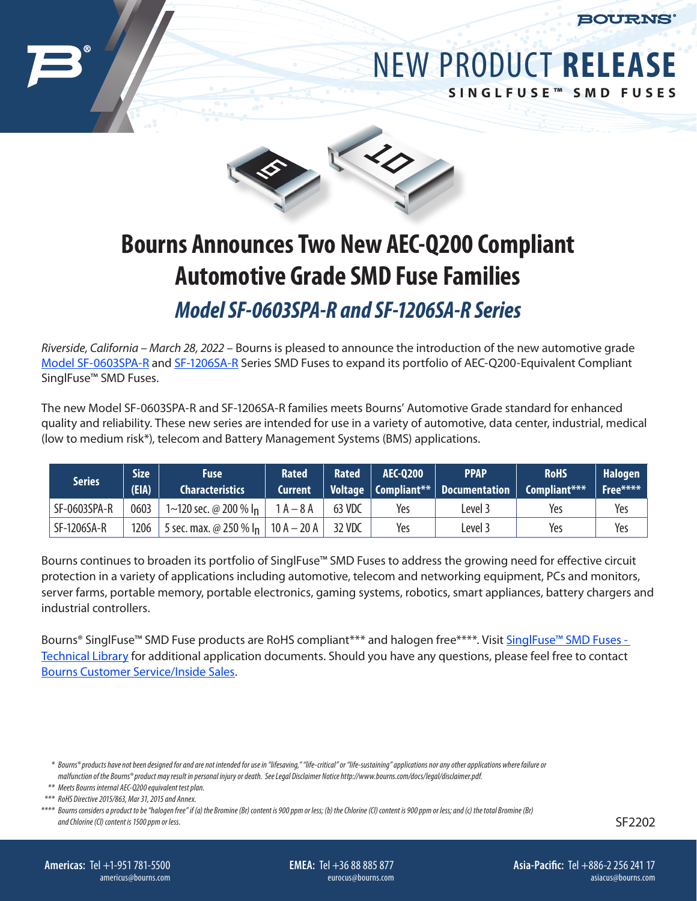



**SINGLFUSE™ SMD FUSES**



## **Bourns Announces Two New AEC-Q200 Compliant Automotive Grade SMD Fuse Families**

*Model SF-0603SPA-R and SF-1206SA-R Series*

*Riverside, California – March 28, 2022 –* Bourns is pleased to announce the introduction of the new automotive grade [Model SF-0603SPA-R](http://www.bourns.com/docs/Product-Datasheets/SF-0603SPA-R.pdf) and [SF-1206SA-R](http://www.bourns.com/docs/Product-Datasheets/SF-1206SA-R.pdf) Series SMD Fuses to expand its portfolio of AEC-Q200-Equivalent Compliant SinglFuse™ SMD Fuses.

The new Model SF-0603SPA-R and SF-1206SA-R families meets Bourns' Automotive Grade standard for enhanced quality and reliability. These new series are intended for use in a variety of automotive, data center, industrial, medical (low to medium risk\*), telecom and Battery Management Systems (BMS) applications.

| <b>Series</b> | <b>Size</b><br>(EIA) | <b>Fuse</b><br><b>Characteristics</b>   | <b>Rated</b><br>Current | <b>Rated</b> | AEC-0200 | <b>PPAP</b><br>Voltage $\vert$ Compliant** $\vert$ Documentation $\vert$ Compliant*** | <b>RoHS</b> | <b>Halogen</b><br>Free**** |
|---------------|----------------------|-----------------------------------------|-------------------------|--------------|----------|---------------------------------------------------------------------------------------|-------------|----------------------------|
| SF-0603SPA-R  | 0603                 | 1~120 sec. @ 200 % $\vert$ <sub>n</sub> | $1A - 8A$               | 63 VDC       | Yes      | Level 3                                                                               | Yes         | Yes                        |
| SF-1206SA-R   | 1206                 | 5 sec. max. @ 250 % $I_n$   10 A - 20 A |                         | 32 VDC       | Yes      | Level 3                                                                               | Yes         | Yes                        |

Bourns continues to broaden its portfolio of SinglFuse™ SMD Fuses to address the growing need for effective circuit protection in a variety of applications including automotive, telecom and networking equipment, PCs and monitors, server farms, portable memory, portable electronics, gaming systems, robotics, smart appliances, battery chargers and industrial controllers.

Bourns® SinglFuse™ SMD Fuse products are RoHS compliant\*\*\* and halogen free\*\*\*\*. Visit SinglFuse™ SMD Fuses -[Technical Library](https://www.bourns.com/resources/technical-library/library-documents/singlfuse-technical-library) for additional application documents. Should you have any questions, please feel free to contact [Bourns Customer Service/Inside Sales](https://www.bourns.com/support/contact).

SF2202

**EMEA:** Tel +36 88 885 877 eurocus@bourns.com

*<sup>\*</sup> Bourns® products have not been designed for and are not intended for use in "lifesaving," "life-critical" or "life-sustaining" applications nor any other applications where failure or malfunction of the Bourns® product may result in personal injury or death. See Legal Disclaimer Notice http://www.bourns.com/docs/legal/disclaimer.pdf.*

*<sup>\*\*</sup> Meets Bourns internal AEC-Q200 equivalent test plan.*

*<sup>\*\*\*</sup> RoHS Directive 2015/863, Mar 31, 2015 and Annex.*

*<sup>\*\*\*\*</sup> Bourns considers a product to be "halogen free" if (a) the Bromine (Br) content is 900 ppm or less; (b) the Chlorine (Cl) content is 900 ppm or less; and (c) the total Bromine (Br) and Chlorine (Cl) content is 1500 ppm or less.*